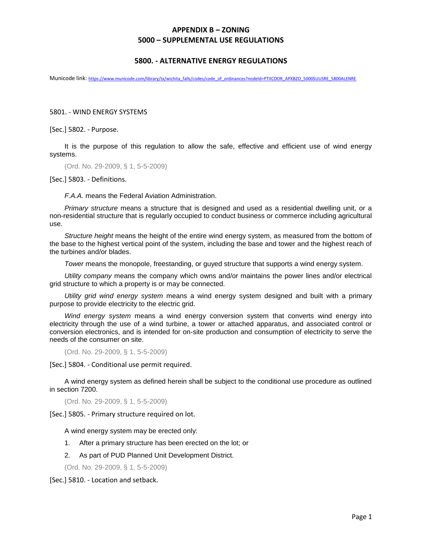#### **5800. - ALTERNATIVE ENERGY REGULATIONS**

Municode link: [https://www.municode.com/library/tx/wichita\\_falls/codes/code\\_of\\_ordinances?nodeId=PTIICOOR\\_APXBZO\\_5000SUUSRE\\_5800ALENRE](https://www.municode.com/library/tx/wichita_falls/codes/code_of_ordinances?nodeId=PTIICOOR_APXBZO_5000SUUSRE_5800ALENRE)

5801. - WIND ENERGY SYSTEMS

[Sec.] 5802. - Purpose.

It is the purpose of this regulation to allow the safe, effective and efficient use of wind energy systems.

(Ord. No. 29-2009, § 1, 5-5-2009)

[Sec.] 5803. - Definitions.

*F.A.A.* means the Federal Aviation Administration.

*Primary structure* means a structure that is designed and used as a residential dwelling unit, or a non-residential structure that is regularly occupied to conduct business or commerce including agricultural use.

*Structure height* means the height of the entire wind energy system, as measured from the bottom of the base to the highest vertical point of the system, including the base and tower and the highest reach of the turbines and/or blades.

*Tower* means the monopole, freestanding, or guyed structure that supports a wind energy system.

*Utility company* means the company which owns and/or maintains the power lines and/or electrical grid structure to which a property is or may be connected.

*Utility grid wind energy system* means a wind energy system designed and built with a primary purpose to provide electricity to the electric grid.

*Wind energy system* means a wind energy conversion system that converts wind energy into electricity through the use of a wind turbine, a tower or attached apparatus, and associated control or conversion electronics, and is intended for on-site production and consumption of electricity to serve the needs of the consumer on site.

(Ord. No. 29-2009, § 1, 5-5-2009)

[Sec.] 5804. - Conditional use permit required.

A wind energy system as defined herein shall be subject to the conditional use procedure as outlined in section 7200.

(Ord. No. 29-2009, § 1, 5-5-2009)

[Sec.] 5805. - Primary structure required on lot.

A wind energy system may be erected only:

- 1. After a primary structure has been erected on the lot; or
- 2. As part of PUD Planned Unit Development District.

(Ord. No. 29-2009, § 1, 5-5-2009)

[Sec.] 5810. - Location and setback.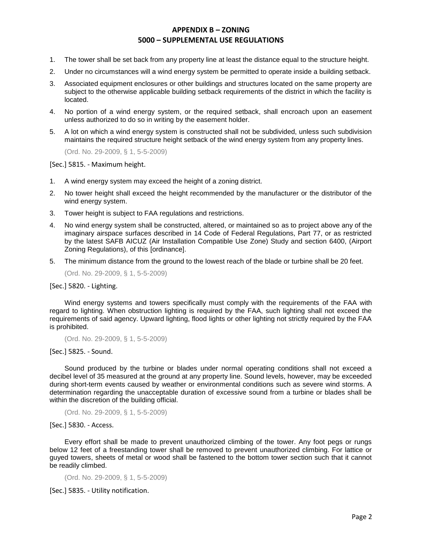- 1. The tower shall be set back from any property line at least the distance equal to the structure height.
- 2. Under no circumstances will a wind energy system be permitted to operate inside a building setback.
- 3. Associated equipment enclosures or other buildings and structures located on the same property are subject to the otherwise applicable building setback requirements of the district in which the facility is located.
- 4. No portion of a wind energy system, or the required setback, shall encroach upon an easement unless authorized to do so in writing by the easement holder.
- 5. A lot on which a wind energy system is constructed shall not be subdivided, unless such subdivision maintains the required structure height setback of the wind energy system from any property lines.

(Ord. No. 29-2009, § 1, 5-5-2009)

[Sec.] 5815. - Maximum height.

- 1. A wind energy system may exceed the height of a zoning district.
- 2. No tower height shall exceed the height recommended by the manufacturer or the distributor of the wind energy system.
- 3. Tower height is subject to FAA regulations and restrictions.
- 4. No wind energy system shall be constructed, altered, or maintained so as to project above any of the imaginary airspace surfaces described in 14 Code of Federal Regulations, Part 77, or as restricted by the latest SAFB AICUZ (Air Installation Compatible Use Zone) Study and section 6400, (Airport Zoning Regulations), of this [ordinance].
- 5. The minimum distance from the ground to the lowest reach of the blade or turbine shall be 20 feet.

(Ord. No. 29-2009, § 1, 5-5-2009)

[Sec.] 5820. - Lighting.

Wind energy systems and towers specifically must comply with the requirements of the FAA with regard to lighting. When obstruction lighting is required by the FAA, such lighting shall not exceed the requirements of said agency. Upward lighting, flood lights or other lighting not strictly required by the FAA is prohibited.

(Ord. No. 29-2009, § 1, 5-5-2009)

[Sec.] 5825. - Sound.

Sound produced by the turbine or blades under normal operating conditions shall not exceed a decibel level of 35 measured at the ground at any property line. Sound levels, however, may be exceeded during short-term events caused by weather or environmental conditions such as severe wind storms. A determination regarding the unacceptable duration of excessive sound from a turbine or blades shall be within the discretion of the building official.

(Ord. No. 29-2009, § 1, 5-5-2009)

[Sec.] 5830. - Access.

Every effort shall be made to prevent unauthorized climbing of the tower. Any foot pegs or rungs below 12 feet of a freestanding tower shall be removed to prevent unauthorized climbing. For lattice or guyed towers, sheets of metal or wood shall be fastened to the bottom tower section such that it cannot be readily climbed.

(Ord. No. 29-2009, § 1, 5-5-2009)

[Sec.] 5835. - Utility notification.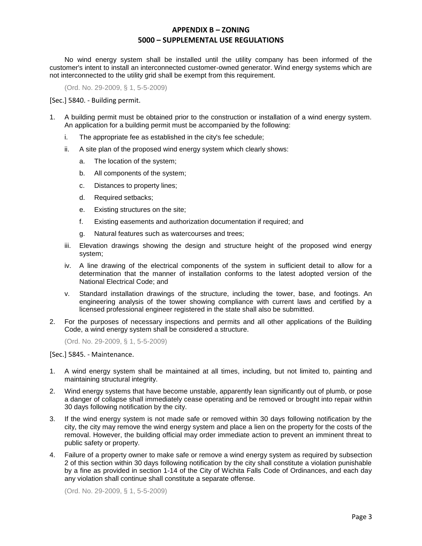No wind energy system shall be installed until the utility company has been informed of the customer's intent to install an interconnected customer-owned generator. Wind energy systems which are not interconnected to the utility grid shall be exempt from this requirement.

(Ord. No. 29-2009, § 1, 5-5-2009)

[Sec.] 5840. - Building permit.

- 1. A building permit must be obtained prior to the construction or installation of a wind energy system. An application for a building permit must be accompanied by the following:
	- i. The appropriate fee as established in the city's fee schedule;
	- ii. A site plan of the proposed wind energy system which clearly shows:
		- a. The location of the system;
		- b. All components of the system;
		- c. Distances to property lines;
		- d. Required setbacks;
		- e. Existing structures on the site;
		- f. Existing easements and authorization documentation if required; and
		- g. Natural features such as watercourses and trees;
	- iii. Elevation drawings showing the design and structure height of the proposed wind energy system;
	- iv. A line drawing of the electrical components of the system in sufficient detail to allow for a determination that the manner of installation conforms to the latest adopted version of the National Electrical Code; and
	- v. Standard installation drawings of the structure, including the tower, base, and footings. An engineering analysis of the tower showing compliance with current laws and certified by a licensed professional engineer registered in the state shall also be submitted.
- 2. For the purposes of necessary inspections and permits and all other applications of the Building Code, a wind energy system shall be considered a structure.

(Ord. No. 29-2009, § 1, 5-5-2009)

[Sec.] 5845. - Maintenance.

- 1. A wind energy system shall be maintained at all times, including, but not limited to, painting and maintaining structural integrity.
- 2. Wind energy systems that have become unstable, apparently lean significantly out of plumb, or pose a danger of collapse shall immediately cease operating and be removed or brought into repair within 30 days following notification by the city.
- 3. If the wind energy system is not made safe or removed within 30 days following notification by the city, the city may remove the wind energy system and place a lien on the property for the costs of the removal. However, the building official may order immediate action to prevent an imminent threat to public safety or property.
- 4. Failure of a property owner to make safe or remove a wind energy system as required by subsection 2 of this section within 30 days following notification by the city shall constitute a violation punishable by a fine as provided in section 1-14 of the City of Wichita Falls Code of Ordinances, and each day any violation shall continue shall constitute a separate offense.

(Ord. No. 29-2009, § 1, 5-5-2009)